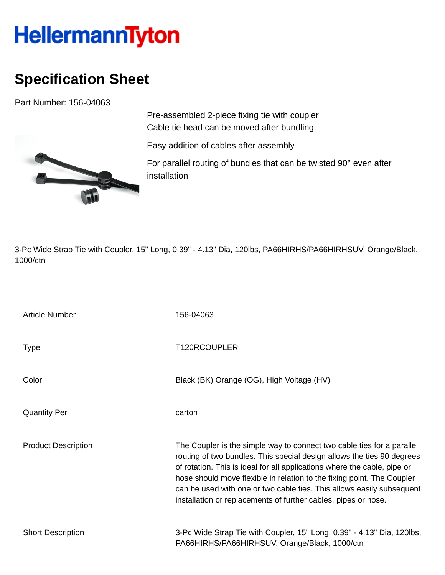## **HellermannTyton**

## **Specification Sheet**

Part Number: 156-04063



Pre-assembled 2-piece fixing tie with coupler Cable tie head can be moved after bundling

Easy addition of cables after assembly

For parallel routing of bundles that can be twisted 90° even after installation

3-Pc Wide Strap Tie with Coupler, 15" Long, 0.39" - 4.13" Dia, 120lbs, PA66HIRHS/PA66HIRHSUV, Orange/Black, 1000/ctn

| <b>Article Number</b>      | 156-04063                                                                                                                                                                                                                                                                                                                                                                                                                                         |
|----------------------------|---------------------------------------------------------------------------------------------------------------------------------------------------------------------------------------------------------------------------------------------------------------------------------------------------------------------------------------------------------------------------------------------------------------------------------------------------|
| <b>Type</b>                | T120RCOUPLER                                                                                                                                                                                                                                                                                                                                                                                                                                      |
| Color                      | Black (BK) Orange (OG), High Voltage (HV)                                                                                                                                                                                                                                                                                                                                                                                                         |
| <b>Quantity Per</b>        | carton                                                                                                                                                                                                                                                                                                                                                                                                                                            |
| <b>Product Description</b> | The Coupler is the simple way to connect two cable ties for a parallel<br>routing of two bundles. This special design allows the ties 90 degrees<br>of rotation. This is ideal for all applications where the cable, pipe or<br>hose should move flexible in relation to the fixing point. The Coupler<br>can be used with one or two cable ties. This allows easily subsequent<br>installation or replacements of further cables, pipes or hose. |
| <b>Short Description</b>   | 3-Pc Wide Strap Tie with Coupler, 15" Long, 0.39" - 4.13" Dia, 120lbs,<br>PA66HIRHS/PA66HIRHSUV, Orange/Black, 1000/ctn                                                                                                                                                                                                                                                                                                                           |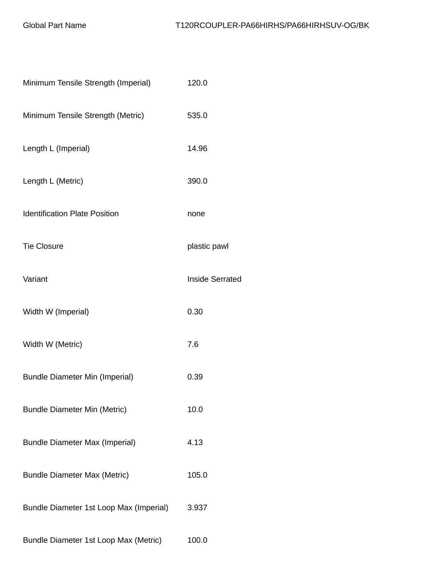| Minimum Tensile Strength (Imperial)     | 120.0                  |
|-----------------------------------------|------------------------|
| Minimum Tensile Strength (Metric)       | 535.0                  |
| Length L (Imperial)                     | 14.96                  |
| Length L (Metric)                       | 390.0                  |
| <b>Identification Plate Position</b>    | none                   |
| <b>Tie Closure</b>                      | plastic pawl           |
| Variant                                 | <b>Inside Serrated</b> |
| Width W (Imperial)                      | 0.30                   |
| Width W (Metric)                        | 7.6                    |
| <b>Bundle Diameter Min (Imperial)</b>   | 0.39                   |
| <b>Bundle Diameter Min (Metric)</b>     | 10.0                   |
| <b>Bundle Diameter Max (Imperial)</b>   | 4.13                   |
| <b>Bundle Diameter Max (Metric)</b>     | 105.0                  |
| Bundle Diameter 1st Loop Max (Imperial) | 3.937                  |
| Bundle Diameter 1st Loop Max (Metric)   | 100.0                  |